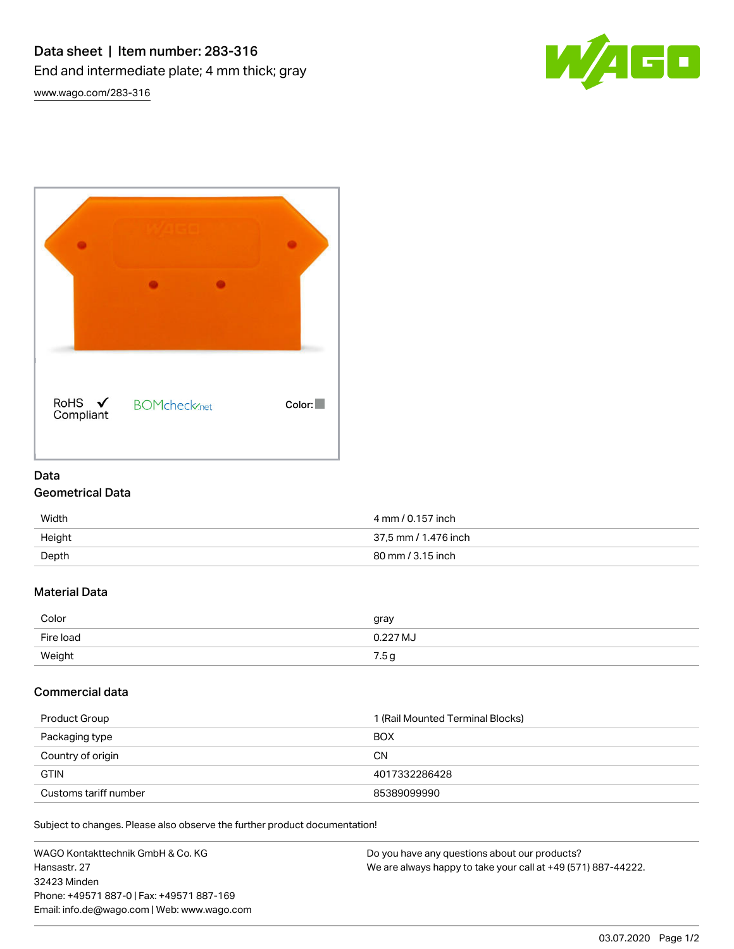Data sheet | Item number: 283-316 End and intermediate plate; 4 mm thick; gray



[www.wago.com/283-316](http://www.wago.com/283-316)

| RoHS ✔<br>Compliant | <b>BOMcheck</b> <sub>net</sub> | Color: |
|---------------------|--------------------------------|--------|

## Data

### Geometrical Data

| Width  | 4 mm / 0.157 inch    |
|--------|----------------------|
| Height | 37,5 mm / 1.476 inch |
| Depth  | 80 mm / 3.15 inch    |

## Material Data

| Color     | gray     |
|-----------|----------|
| Fire load | 0.227 MJ |
| Weight    | 7.5 g    |

# Commercial data

| Product Group         | 1 (Rail Mounted Terminal Blocks) |
|-----------------------|----------------------------------|
| Packaging type        | <b>BOX</b>                       |
| Country of origin     | <b>CN</b>                        |
| <b>GTIN</b>           | 4017332286428                    |
| Customs tariff number | 85389099990                      |

Subject to changes. Please also observe the further product documentation!

| WAGO Kontakttechnik GmbH & Co. KG           | Do you have any questions about our products?                 |
|---------------------------------------------|---------------------------------------------------------------|
| Hansastr, 27                                | We are always happy to take your call at +49 (571) 887-44222. |
| 32423 Minden                                |                                                               |
| Phone: +49571 887-01 Fax: +49571 887-169    |                                                               |
| Email: info.de@wago.com   Web: www.wago.com |                                                               |